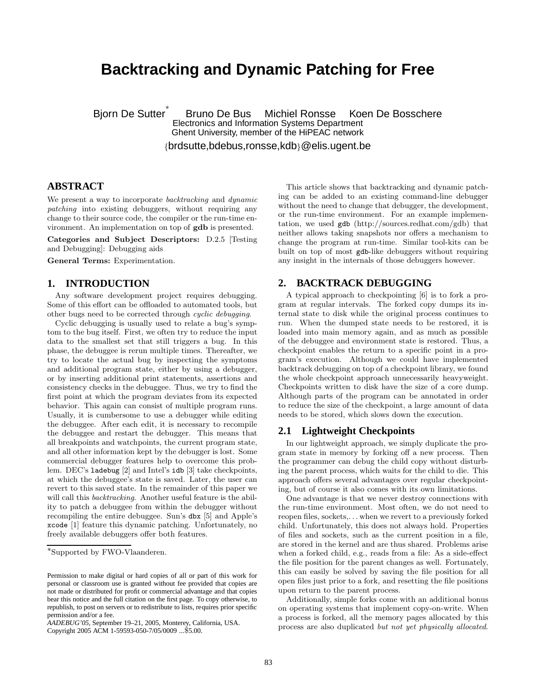# **Backtracking and Dynamic Patching for Free**

Bjorn De Sutter ∗ Bruno De Bus Michiel Ronsse Koen De Bosschere Electronics and Information Systems Department Ghent University, member of the HiPEAC network

{brdsutte,bdebus,ronsse,kdb}@elis.ugent.be

# **ABSTRACT**

We present a way to incorporate backtracking and dynamic patching into existing debuggers, without requiring any change to their source code, the compiler or the run-time environment. An implementation on top of gdb is presented.

Categories and Subject Descriptors: D.2.5 [Testing and Debugging]: Debugging aids

General Terms: Experimentation.

## **1. INTRODUCTION**

Any software development project requires debugging. Some of this effort can be offloaded to automated tools, but other bugs need to be corrected through cyclic debugging.

Cyclic debugging is usually used to relate a bug's symptom to the bug itself. First, we often try to reduce the input data to the smallest set that still triggers a bug. In this phase, the debuggee is rerun multiple times. Thereafter, we try to locate the actual bug by inspecting the symptoms and additional program state, either by using a debugger, or by inserting additional print statements, assertions and consistency checks in the debuggee. Thus, we try to find the first point at which the program deviates from its expected behavior. This again can consist of multiple program runs. Usually, it is cumbersome to use a debugger while editing the debuggee. After each edit, it is necessary to recompile the debuggee and restart the debugger. This means that all breakpoints and watchpoints, the current program state, and all other information kept by the debugger is lost. Some commercial debugger features help to overcome this problem. DEC's ladebug [2] and Intel's idb [3] take checkpoints, at which the debuggee's state is saved. Later, the user can revert to this saved state. In the remainder of this paper we will call this *backtracking*. Another useful feature is the ability to patch a debuggee from within the debugger without recompiling the entire debuggee. Sun's dbx [5] and Apple's xcode [1] feature this dynamic patching. Unfortunately, no freely available debuggers offer both features.

Copyright 2005 ACM 1-59593-050-7/05/0009 ...\$5.00.

This article shows that backtracking and dynamic patching can be added to an existing command-line debugger without the need to change that debugger, the development, or the run-time environment. For an example implementation, we used gdb (http://sources.redhat.com/gdb) that neither allows taking snapshots nor offers a mechanism to change the program at run-time. Similar tool-kits can be built on top of most gdb-like debuggers without requiring any insight in the internals of those debuggers however.

# **2. BACKTRACK DEBUGGING**

A typical approach to checkpointing [6] is to fork a program at regular intervals. The forked copy dumps its internal state to disk while the original process continues to run. When the dumped state needs to be restored, it is loaded into main memory again, and as much as possible of the debuggee and environment state is restored. Thus, a checkpoint enables the return to a specific point in a program's execution. Although we could have implemented backtrack debugging on top of a checkpoint library, we found the whole checkpoint approach unnecessarily heavyweight. Checkpoints written to disk have the size of a core dump. Although parts of the program can be annotated in order to reduce the size of the checkpoint, a large amount of data needs to be stored, which slows down the execution.

# **2.1 Lightweight Checkpoints**

In our lightweight approach, we simply duplicate the program state in memory by forking off a new process. Then the programmer can debug the child copy without disturbing the parent process, which waits for the child to die. This approach offers several advantages over regular checkpointing, but of course it also comes with its own limitations.

One advantage is that we never destroy connections with the run-time environment. Most often, we do not need to reopen files, sockets,. . . when we revert to a previously forked child. Unfortunately, this does not always hold. Properties of files and sockets, such as the current position in a file, are stored in the kernel and are thus shared. Problems arise when a forked child, e.g., reads from a file: As a side-effect the file position for the parent changes as well. Fortunately, this can easily be solved by saving the file position for all open files just prior to a fork, and resetting the file positions upon return to the parent process.

Additionally, simple forks come with an additional bonus on operating systems that implement copy-on-write. When a process is forked, all the memory pages allocated by this process are also duplicated but not yet physically allocated.

<sup>∗</sup> Supported by FWO-Vlaanderen.

Permission to make digital or hard copies of all or part of this work for personal or classroom use is granted without fee provided that copies are not made or distributed for profit or commercial advantage and that copies bear this notice and the full citation on the first page. To copy otherwise, to republish, to post on servers or to redistribute to lists, requires prior specific permission and/or a fee.

*AADEBUG'05,* September 19–21, 2005, Monterey, California, USA.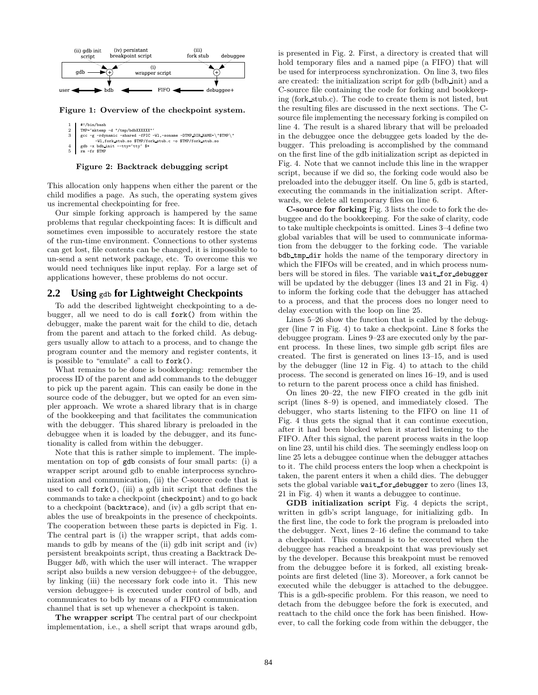

Figure 1: Overview of the checkpoint system.

Figure 2: Backtrack debugging script

This allocation only happens when either the parent or the child modifies a page. As such, the operating system gives us incremental checkpointing for free.

Our simple forking approach is hampered by the same problems that regular checkpointing faces: It is difficult and sometimes even impossible to accurately restore the state of the run-time environment. Connections to other systems can get lost, file contents can be changed, it is impossible to un-send a sent network package, etc. To overcome this we would need techniques like input replay. For a large set of applications however, these problems do not occur.

## **2.2 Using** gdb **for Lightweight Checkpoints**

To add the described lightweight checkpointing to a debugger, all we need to do is call fork() from within the debugger, make the parent wait for the child to die, detach from the parent and attach to the forked child. As debuggers usually allow to attach to a process, and to change the program counter and the memory and register contents, it is possible to "emulate" a call to fork().

What remains to be done is bookkeeping: remember the process ID of the parent and add commands to the debugger to pick up the parent again. This can easily be done in the source code of the debugger, but we opted for an even simpler approach. We wrote a shared library that is in charge of the bookkeeping and that facilitates the communication with the debugger. This shared library is preloaded in the debuggee when it is loaded by the debugger, and its functionality is called from within the debugger.

Note that this is rather simple to implement. The implementation on top of gdb consists of four small parts: (i) a wrapper script around gdb to enable interprocess synchronization and communication, (ii) the C-source code that is used to call  $fork()$ , (iii) a gdb init script that defines the commands to take a checkpoint (checkpoint) and to go back to a checkpoint (backtrace), and (iv) a gdb script that enables the use of breakpoints in the presence of checkpoints. The cooperation between these parts is depicted in Fig. 1. The central part is (i) the wrapper script, that adds commands to gdb by means of the (ii) gdb init script and (iv) persistent breakpoints script, thus creating a Backtrack De-Bugger bdb, with which the user will interact. The wrapper script also builds a new version debuggee+ of the debuggee, by linking (iii) the necessary fork code into it. This new version debuggee+ is executed under control of bdb, and communicates to bdb by means of a FIFO communication channel that is set up whenever a checkpoint is taken.

The wrapper script The central part of our checkpoint implementation, i.e., a shell script that wraps around gdb, is presented in Fig. 2. First, a directory is created that will hold temporary files and a named pipe (a FIFO) that will be used for interprocess synchronization. On line 3, two files are created: the initialization script for gdb (bdb init) and a C-source file containing the code for forking and bookkeeping (fork stub.c). The code to create them is not listed, but the resulting files are discussed in the next sections. The Csource file implementing the necessary forking is compiled on line 4. The result is a shared library that will be preloaded in the debuggee once the debuggee gets loaded by the debugger. This preloading is accomplished by the command on the first line of the gdb initialization script as depicted in Fig. 4. Note that we cannot include this line in the wrapper script, because if we did so, the forking code would also be preloaded into the debugger itself. On line 5, gdb is started, executing the commands in the initialization script. Afterwards, we delete all temporary files on line 6.

C-source for forking Fig. 3 lists the code to fork the debuggee and do the bookkeeping. For the sake of clarity, code to take multiple checkpoints is omitted. Lines 3–4 define two global variables that will be used to communicate information from the debugger to the forking code. The variable bdb tmp dir holds the name of the temporary directory in which the FIFOs will be created, and in which process numbers will be stored in files. The variable wait for debugger will be updated by the debugger (lines 13 and 21 in Fig. 4) to inform the forking code that the debugger has attached to a process, and that the process does no longer need to delay execution with the loop on line 25.

Lines 5–26 show the function that is called by the debugger (line 7 in Fig. 4) to take a checkpoint. Line 8 forks the debuggee program. Lines 9–23 are executed only by the parent process. In these lines, two simple gdb script files are created. The first is generated on lines 13–15, and is used by the debugger (line 12 in Fig. 4) to attach to the child process. The second is generated on lines 16–19, and is used to return to the parent process once a child has finished.

On lines 20–22, the new FIFO created in the gdb init script (lines 8–9) is opened, and immediately closed. The debugger, who starts listening to the FIFO on line 11 of Fig. 4 thus gets the signal that it can continue execution, after it had been blocked when it started listening to the FIFO. After this signal, the parent process waits in the loop on line 23, until his child dies. The seemingly endless loop on line 25 lets a debuggee continue when the debugger attaches to it. The child process enters the loop when a checkpoint is taken, the parent enters it when a child dies. The debugger sets the global variable wait for debugger to zero (lines 13, 21 in Fig. 4) when it wants a debuggee to continue.

GDB initialization script Fig. 4 depicts the script, written in gdb's script language, for initializing gdb. In the first line, the code to fork the program is preloaded into the debugger. Next, lines 2–16 define the command to take a checkpoint. This command is to be executed when the debuggee has reached a breakpoint that was previously set by the developer. Because this breakpoint must be removed from the debuggee before it is forked, all existing breakpoints are first deleted (line 3). Moreover, a fork cannot be executed while the debugger is attached to the debuggee. This is a gdb-specific problem. For this reason, we need to detach from the debuggee before the fork is executed, and reattach to the child once the fork has been finished. However, to call the forking code from within the debugger, the

 $\begin{array}{c|c} 1 & \text{#!/bin/bash} \\ 2 & \text{TMP*}^{\text{in}/\text{bath}} \\ 3 & \text{gcc -g -rdy} \end{array}$ TMP='mktemp -d "/tmp/bdbXXXXXX" 3 gcc -g -rdynamic -shared -fPIC -Wl,-soname -DTMP DIR NAME=\"\$TMP\"<br>-Wl,fork stub.so \$TMP/fork stub.so<br>4 gdb -x bdb\_init --tty='tty' \$\*

<sup>5</sup> rm -fr \$TMP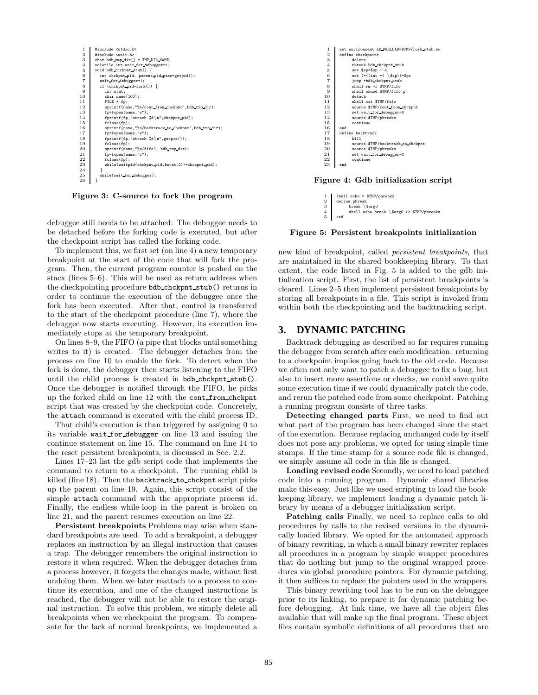

Figure 3: C-source to fork the program

debuggee still needs to be attached: The debuggee needs to be detached before the forking code is executed, but after the checkpoint script has called the forking code.

To implement this, we first set (on line 4) a new temporary breakpoint at the start of the code that will fork the program. Then, the current program counter is pushed on the stack (lines 5–6). This will be used as return address when the checkpointing procedure bdb chckpnt stub() returns in order to continue the execution of the debuggee once the fork has been executed. After that, control is transferred to the start of the checkpoint procedure (line 7), where the debuggee now starts executing. However, its execution immediately stops at the temporary breakpoint.

On lines 8–9, the FIFO (a pipe that blocks until something writes to it) is created. The debugger detaches from the process on line 10 to enable the fork. To detect when the fork is done, the debugger then starts listening to the FIFO until the child process is created in bdb chckpnt stub(). Once the debugger is notified through the FIFO, he picks up the forked child on line 12 with the cont from chckpnt script that was created by the checkpoint code. Concretely, the attach command is executed with the child process ID.

That child's execution is than triggered by assigning 0 to its variable wait for debugger on line 13 and issuing the continue statement on line 15. The command on line 14 to the reset persistent breakpoints, is discussed in Sec. 2.2.

Lines 17–23 list the gdb script code that implements the command to return to a checkpoint. The running child is killed (line 18). Then the backtrack to chckpnt script picks up the parent on line 19. Again, this script consist of the simple attach command with the appropriate process id. Finally, the endless while-loop in the parent is broken on line 21, and the parent resumes execution on line 22.

Persistent breakpoints Problems may arise when standard breakpoints are used. To add a breakpoint, a debugger replaces an instruction by an illegal instruction that causes a trap. The debugger remembers the original instruction to restore it when required. When the debugger detaches from a process however, it forgets the changes made, without first undoing them. When we later reattach to a process to continue its execution, and one of the changed instructions is reached, the debugger will not be able to restore the original instruction. To solve this problem, we simply delete all breakpoints when we checkpoint the program. To compensate for the lack of normal breakpoints, we implemented a



Figure 4: Gdb initialization script

 $\begin{tabular}{l|c|c} 1 & shell echo & $\$TMP/ppreak \\ 2 & define pbreak \\ 3 & break & $\$arg0 \\ 4 & shell echo break & $\$ \\ \end{tabular}$ 2 define pbreak 3 break \\$arg0 4 shell echo break \\$arg0 >> \$TMP/pbreaks 5 end

Figure 5: Persistent breakpoints initialization

new kind of breakpoint, called persistent breakpoints, that are maintained in the shared bookkeeping library. To that extent, the code listed in Fig. 5 is added to the gdb initialization script. First, the list of persistent breakpoints is cleared. Lines 2–5 then implement persistent breakpoints by storing all breakpoints in a file. This script is invoked from within both the checkpointing and the backtracking script.

# **3. DYNAMIC PATCHING**

Backtrack debugging as described so far requires running the debuggee from scratch after each modification: returning to a checkpoint implies going back to the old code. Because we often not only want to patch a debuggee to fix a bug, but also to insert more assertions or checks, we could save quite some execution time if we could dynamically patch the code, and rerun the patched code from some checkpoint. Patching a running program consists of three tasks.

Detecting changed parts First, we need to find out what part of the program has been changed since the start of the execution. Because replacing unchanged code by itself does not pose any problems, we opted for using simple time stamps. If the time stamp for a source code file is changed, we simply assume all code in this file is changed.

Loading revised code Secondly, we need to load patched code into a running program. Dynamic shared libraries make this easy. Just like we used scripting to load the bookkeeping library, we implement loading a dynamic patch library by means of a debugger initialization script.

Patching calls Finally, we need to replace calls to old procedures by calls to the revised versions in the dynamically loaded library. We opted for the automated approach of binary rewriting, in which a small binary rewriter replaces all procedures in a program by simple wrapper procedures that do nothing but jump to the original wrapped procedures via global procedure pointers. For dynamic patching, it then suffices to replace the pointers used in the wrappers.

This binary rewriting tool has to be run on the debuggee prior to its linking, to prepare it for dynamic patching before debugging. At link time, we have all the object files available that will make up the final program. These object files contain symbolic definitions of all procedures that are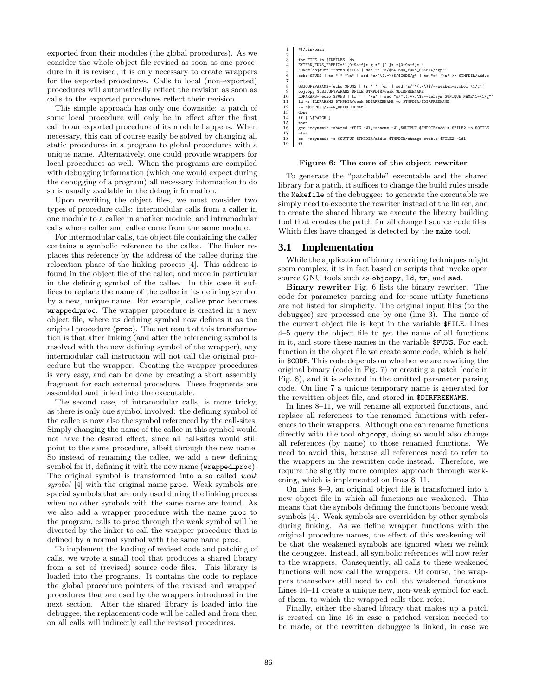exported from their modules (the global procedures). As we consider the whole object file revised as soon as one procedure in it is revised, it is only necessary to create wrappers for the exported procedures. Calls to local (non-exported) procedures will automatically reflect the revision as soon as calls to the exported procedures reflect their revision.

This simple approach has only one downside: a patch of some local procedure will only be in effect after the first call to an exported procedure of its module happens. When necessary, this can of course easily be solved by changing all static procedures in a program to global procedures with a unique name. Alternatively, one could provide wrappers for local procedures as well. When the programs are compiled with debugging information (which one would expect during the debugging of a program) all necessary information to do so is usually available in the debug information.

Upon rewriting the object files, we must consider two types of procedure calls: intermodular calls from a caller in one module to a callee in another module, and intramodular calls where caller and callee come from the same module.

For intermodular calls, the object file containing the caller contains a symbolic reference to the callee. The linker replaces this reference by the address of the callee during the relocation phase of the linking process [4]. This address is found in the object file of the callee, and more in particular in the defining symbol of the callee. In this case it suffices to replace the name of the callee in its defining symbol by a new, unique name. For example, callee proc becomes wrapped proc. The wrapper procedure is created in a new object file, where its defining symbol now defines it as the original procedure (proc). The net result of this transformation is that after linking (and after the referencing symbol is resolved with the new defining symbol of the wrapper), any intermodular call instruction will not call the original procedure but the wrapper. Creating the wrapper procedures is very easy, and can be done by creating a short assembly fragment for each external procedure. These fragments are assembled and linked into the executable.

The second case, of intramodular calls, is more tricky, as there is only one symbol involved: the defining symbol of the callee is now also the symbol referenced by the call-sites. Simply changing the name of the callee in this symbol would not have the desired effect, since all call-sites would still point to the same procedure, albeit through the new name. So instead of renaming the callee, we add a new defining symbol for it, defining it with the new name (wrapped proc). The original symbol is transformed into a so called weak symbol [4] with the original name proc. Weak symbols are special symbols that are only used during the linking process when no other symbols with the same name are found. As we also add a wrapper procedure with the name proc to the program, calls to proc through the weak symbol will be diverted by the linker to call the wrapper procedure that is defined by a normal symbol with the same name proc.

To implement the loading of revised code and patching of calls, we wrote a small tool that produces a shared library from a set of (revised) source code files. This library is loaded into the programs. It contains the code to replace the global procedure pointers of the revised and wrapped procedures that are used by the wrappers introduced in the next section. After the shared library is loaded into the debuggee, the replacement code will be called and from then on all calls will indirectly call the revised procedures.

```
\frac{1}{2} #!/bin/bash
   2<br>3 for FILE in $INFILES; do<br>4 EXTERN_FUNS_PREFIX='^[O-9a-f]* g *F [^]* *[O-9a-f]* }<br>5 FUNS='objdump --eyms $FILE | sed -n "s/$EXTERN_FUNS_PREFIX//gp"<br>6 echo $FUNS | tr " "'\n" | sed "s/~\(.*\)$/$CODE/g" | tr "#" "\n" >> 
   7 ...
8 OBJCOPYPARAMS='echo $FUNS | tr ' ' '\n' | sed "s/^\(.*\)$/--weaken-symbol \1/g"'
9 objects \mathbb{R}^n objects \mathbb{R}^n objects \mathbb{R}^n objects \mathbb{R}^n objects \mathbb{R}^n objects \mathbb{R}^n objects \mathbb{R}^n objects \mathbb{R}^n objects \mathbb{R}^n objects \mathbb{R}^n objects \mathbb{R}^n objects \10 LDPARAMS='echo $FUNS | tr ' ' '\n' | sed "s/^\(.*\)\$/--defsym $UNIQUE_NAME\1=\1/g"'<br>11 ld -r $LDPARAMS $TMPDIR/weak_$DIRFREENAME -o $TMPDIR/$DIRFREENAME
11 11 rm vSTMPDIR/weak_$DIRFREENAME<br>12 rm \$TMPDIR/weak_$DIRFREENAME<br>13 done
\begin{tabular}{cc} 13 & don \\ 14 & if \\ 15 & the \end{tabular}if [ \$PATCH ]
\begin{array}{cc} 15 & \text{then} \\ 16 & \text{gcc} \end{array}16 gcc -rdynamic -shared -fPIC -Wl,-soname -Wl,$OUTPUT $TMPDIR/add.s $FILE2 -o $OFILE
             o<br>else
                                  nic -o $OUTPUT $TMPDIR/add.s $TMPDIR/change_stub.c $FILE2 -ldl
```
#### Figure 6: The core of the object rewriter

To generate the "patchable" executable and the shared library for a patch, it suffices to change the build rules inside the Makefile of the debuggee: to generate the executable we simply need to execute the rewriter instead of the linker, and to create the shared library we execute the library building tool that creates the patch for all changed source code files. Which files have changed is detected by the make tool.

#### **3.1 Implementation**

19 fi

While the application of binary rewriting techniques might seem complex, it is in fact based on scripts that invoke open source GNU tools such as objcopy, ld, tr, and sed.

Binary rewriter Fig. 6 lists the binary rewriter. The code for parameter parsing and for some utility functions are not listed for simplicity. The original input files (to the debuggee) are processed one by one (line 3). The name of the current object file is kept in the variable \$FILE. Lines 4–5 query the object file to get the name of all functions in it, and store these names in the variable \$FUNS. For each function in the object file we create some code, which is held in \$CODE. This code depends on whether we are rewriting the original binary (code in Fig. 7) or creating a patch (code in Fig. 8), and it is selected in the omitted parameter parsing code. On line 7 a unique temporary name is generated for the rewritten object file, and stored in \$DIRFREENAME.

In lines 8–11, we will rename all exported functions, and replace all references to the renamed functions with references to their wrappers. Although one can rename functions directly with the tool objcopy, doing so would also change all references (by name) to those renamed functions. We need to avoid this, because all references need to refer to the wrappers in the rewritten code instead. Therefore, we require the slightly more complex approach through weakening, which is implemented on lines 8–11.

On lines 8–9, an original object file is transformed into a new object file in which all functions are weakened. This means that the symbols defining the functions become weak symbols [4]. Weak symbols are overridden by other symbols during linking. As we define wrapper functions with the original procedure names, the effect of this weakening will be that the weakened symbols are ignored when we relink the debuggee. Instead, all symbolic references will now refer to the wrappers. Consequently, all calls to these weakened functions will now call the wrappers. Of course, the wrappers themselves still need to call the weakened functions. Lines 10–11 create a unique new, non-weak symbol for each of them, to which the wrapped calls then refer.

Finally, either the shared library that makes up a patch is created on line 16 in case a patched version needed to be made, or the rewritten debuggee is linked, in case we